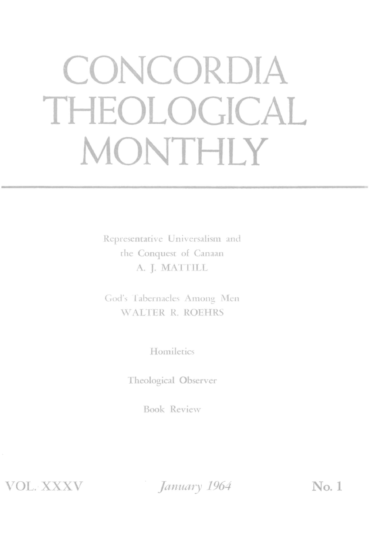# **CONCORDIA THEOLOGICAL MONTHLY**

Representative Universalism and rhe Conquest of Canaan A. J. MATTILL

God's Tabernacles Among Men WALTER R. ROEHRS

Homiletics

Theological Observer

Book Review

*,TOL.* XXXV

*January* 1964 **No. 1**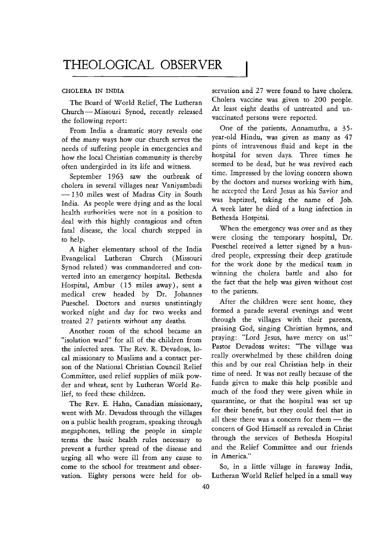THEOLOGICAL OBSERVER

#### CHOLERA IN INDIA

The Board of World Relief, The Lutheran Church - Missouri Synod, recently released the following report:

of the many ways how our church serves the year-old Hindu, was given as many as  $47$ <br>needs of suffering people in emergencies and pints of intravenous fluid and kept in the needs of suffering people in emergencies and pints of intravenous fluid and kept in the<br>how the local Christian community is thereby hospital for seven days. Three times he how the local Christian community is thereby hospital for seven days. Three times he<br>often undergirded in its life and witness seemed to be dead, but he was revived each

cholera in several villages near Vaniyambadi<br>120 miles working with him,<br>he accepted the Lord Jesus as his Savior and -130 miles west of Madras City in South the accepted the Lord Jesus as his Savior and<br>India, As people were dving and as the local was baptized, taking the name of Job. India. As people were dying and as the local was baptized, taking the name of Job.<br>hardly outbreaking was not in a periting to A week later he died of a lung infection in health authorities were not in a position to  $A$  week later he died of a lung infection in the died of a lung infection in  $A$  bethesda Hospital. deal with this highly contagious and often bethesda Hospital.<br>fatal disease the local church stepped in When the emergency was over and as they fatal disease, the local church stepped in

Evangelical Lutheran Church (Missouri dred people, expressing their deep gratitude<br>Sunod toleted) was commandeeded and con Synod related) was commandeered and con-<br>winning the cholera battle and also for<br>winning the cholera battle and also for verted into an emergency hospital. Bethesda winning the cholera battle and also for<br>Hospital Ambur (15 miles away) sent a the fact that the help was given without cost Hospital, Ambur (15 miles away), sent a the fact that the mail of the patients. medical crew headed by Dr. Johannes Pueschel. Doctors and nurses unstintingly After the children were sent home, they worked night and day for two weeks and formed a parade several evenings and went<br>treated 27 patients without any deaths. Through the villages with their parents,

"isolation ward" for all of the children from praying: "Lord Jesus, have mercy on us!"<br>the infected area. The Bey B. Devadoes Jo. Pastor Devadoss writes: "The village was the infected area. The Rev. R. Devadoss, lo-<br>cal missionary to Muslims and a contact per-<br>really overwhelmed by these children doing cal missionary to Muslims and a contact per-<br>son of the National Christian Council Belief this and by our real Christian help in their son of the National Christian Council Relief this and by our real Christian help in their<br>Committee used relief supplies of milk pow time of need. It was not really because of the Committee, used relief supplies of milk pow-<br>der and wheat sent by Lutheran World Re- funds given to make this help possible and der and wheat, sent by Lutheran World Relief, to feed these children. much of the food they were given while in

went with Mr. Devadoss through the villages for their benefit, but they could feel that in<br>on a public health program, speaking through all these there was a concern for them—the on a public health program, speaking through all these there was a concern for them - the<br>megaphones telling the people in simple concern of God Himself as revealed in Christ megaphones, telling the people in simple concern of God Himself as revealed in Christ<br>terms the basic health rules necessary to through the services of Bethesda Hospital terms the basic health rules necessary to prevent a further spread of the disease and and the Relief Committee and our friends urging all who were ill from any cause to in America." come to the school for treatment and obser- So, in a little village in faraway India, vation. Eighty persons were held for ob- Lutheran World Relief helped in a small way

servation and 27 were found to have cholera. Cholera vaccine was given to 200 people. At least eight deaths of untreated and unvaccinated persons were reported.

From India a dramatic story reveals one One of the patients, Annamuthu, a 35-<br>the many ways how our church serves the year-old Hindu, was given as many as 47 often undergirded in its life and witness. seemed to be dead, but he was revived each<br>September 1063 serve the outbreak of time. Impressed by the loving concern shown September 1963 saw the outbreak of  $\frac{time}{dt}$ . Impressed by the loving concern shown

to help. were closing the temporary hospital, Dr. A higher elementary school of the India Pueschel received a letter signed by a hun-<br>cancelical Jutheran Church (Microwing dred people, expressing their deep gratitude

treated 27 patients without any deaths. through the villages with their parents,<br>Apother room of the school became an praising God, singing Christian hymns, and Another room of the school became an praising God, singing Christian hymns, and<br>colation word" for all of the children from praying: "Lord Jesus, have mercy on us!" The Rev. E. Hahn, Canadian missionary, quarantine, or that the hospital was set up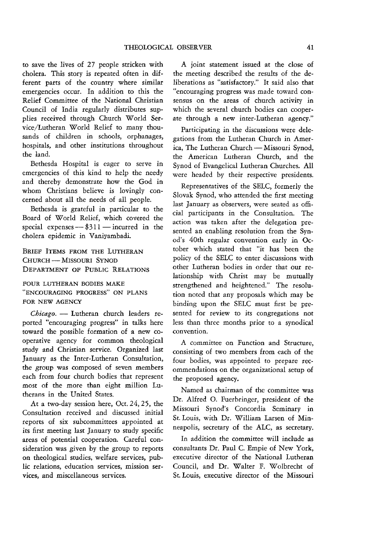to save the lives of 27 people stricken with cholera. This story is repeated often in different parts of the country where similar emergencies occur. In addition to this the Relief Committee of the National Christian Council of India regularly distributes supplies received through Church World Service/Lutheran World Relief to many thousands of children in schools, orphanages, hospitals, and other institutions throughout the land.

Bethesda Hospital is eager to serve in emergencies of this kind to help the needy and thereby demonstrate how the God in whom Christians believe is lovingly concerned about all the needs of all people.

Bethesda is grateful in particular to the Board of World Relief, which covered the special expenses  $-$  \$311  $-$  incurred in the cholera epidemic in Vaniyambadi.

BRIEF ITEMS FROM THE LUTHERAN CHURCH - MISSOURI SYNOD DEPARTMENT OF PUBLIC RELATIONS

FOUR LUTHERAN BODIES MAKE "ENCOURAGING PROGRESS" ON PLANS FOR NEW AGENCY

Chicago. - Lutheran church leaders reported "encouraging progress" in talks here toward the possible formation of a new cooperative agency for common theological study and Christian service. Organized last January as the Inter-Lutheran Consultation, the group was composed of seven members each from four church bodies that represent most of the more than eight million Lutherans in the United States.

At a two-day session here, Oct. 24,25, the Consultation received and discussed initial reports of six subcommittees appointed at its first meeting last January to study specific areas of potential cooperation. Careful consideration was given by the group to reports on theological studies, welfare services, public relations, education services, mission services, and miscellaneous services.

A joint statement issued at the close of the meeting described the results of the deliberations as "satisfactory." It said also that "encouraging progress was made toward consensus on the areas of church activity in which the several church bodies can cooperate through a new inter-Lutheran agency."

Participating in the discussions were delegations from the Lutheran Church in America, The Lutheran Church - Missouri Synod, the American Lutheran Church, and the Synod of Evangelical Lutheran Churches. All were headed by their respective presidents.

Representatives of the SELC, formerly the Slovak Synod, who attended the first meeting last January as observers, were seated as official participants in the Consultation. The action was taken after the delegation presented an enabling resolution from the Synod's 40th regular convention early in October which stated that "it has been the policy of the SELC to enter discussions with other Lutheran bodies in order that our relationship with Christ may be mutually strengthened and heightened." The resolution noted that any proposals which may be binding upon the SELC must first be presented for review to its congregations not less than three months prior to a synodical convention.

A committee on Function and Structure, consisting of two members from each of the four bodies, was appointed to prepare recommendations on the organizational setup of the proposed agency.

Named as chairman of the committee was Dr. Alfred O. Fuerbringer, president of the Missouri Synod's Concordia Seminary in St. Louis, with Dr. William Larsen of Minneapolis, secretary of the ALC, as secretary.

In addition the committee will include as consultants Dr. Paul C. Empie of New York, executive director of the National Lutheran Council, and Dr. Walter F. Wolbrecht of St. Louis, executive director of the Missouri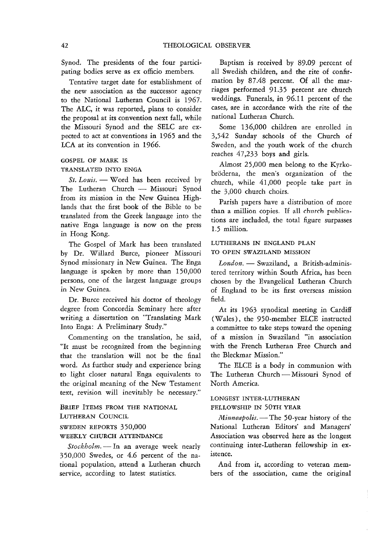Synod. The presidents of the four participating bodies serve as ex officio members.

Tentative target date for establishment of the new association as the successor agency to the National Lutheran Council is 1967. The ALC, it was reported, plans to consider the proposal at its convention next fall, while the Missouri Synod and the SELC are expected to act at conventions in 1965 and the LCA at its convention in 1966.

#### GOSPEL OF MARK IS

### TRANSLATED INTO ENGA

*St. Louis.* - Word has been received by The Lutheran Church - Missouri Synod from its mission in the New Guinea Highlands that the first book of the Bible to be translated from the Greek language into the native Enga language is now on the press in Hong Kong.

The Gospel of Mark has been translated by Dr. Willard Burce, pioneer Missouri Synod missionary in New Guinea. The Enga language is spoken by more than 150,000 persons, one of the largest language groups in New Guinea.

Dr. Burce received his doctor of theology degree from Concordia Seminary here after writing a dissertation on "Translating Mark Into Enga: A Preliminary Study."

Commenting on the translation, he said, "It must be recognized from the beginning that the translation will not be the final word. As further study and experience bring to light closer natural Enga equivalents to the original meaning of the New Testament text, revision will inevitably be necessary."

BRIEF ITEMS FROM THE NATIONAL LUTHERAN COUNCIL SWEDEN REPORTS 350,000

# WEEKLY CHURCH ATTENDANCE

*Stockholm*. - In an average week nearly 350,000 Swedes, or 4.6 percent of the national population, attend a Lutheran church service, according to latest statistics.

Baptism is received by 89.09 percent of all Swedish children, and the rite of confirmation by 87.48 percent. Of all the marriages performed 91.35 percent are church weddings. Funerals, in 96.11 percent of the cases, are in accordance with the rite of the national Lutheran Church.

Some 136,000 children are enrolled in 3,542 Sunday schools of the Church of Sweden, and the youth work of the church reaches 47,233 boys and girls.

Almost 25,000 men belong to the Kyrkobröderna, the men's organization of the church, while 41,000 people take part in the 3,000 church choirs.

Parish papers have a distribution of more than a million copies. If all church publications are included, the total figure surpasses 1.5 million.

# LUTHERANS IN ENGLAND PLAN TO OPEN SWAZILAND MISSION

*London.* - Swaziland, a British-administered territory within South Africa, has been chosen by the Evangelical Lutheran Church of England to be its first overseas mission field.

At its 1963 synodical meeting in Cardiff (Wales), the 950-member ELCE instructed a committee to take steps toward the opening of a mission in Swaziland "in association with the French Lutheran Free Church and the Bleckmar Mission."

The ELCE is a body in communion with The Lutheran Church - Missouri Synod of North America.

#### LONGEST INTER-LUTHERAN FELLOWSHIP IN 50TH YEAR

*Minneapolis.* - The 50-year history of the National Lutheran Editors' and Managers' Association was observed here as the longest continuing inter-Lutheran fellowship in existence.

And from it, according to veteran members of the association, came the original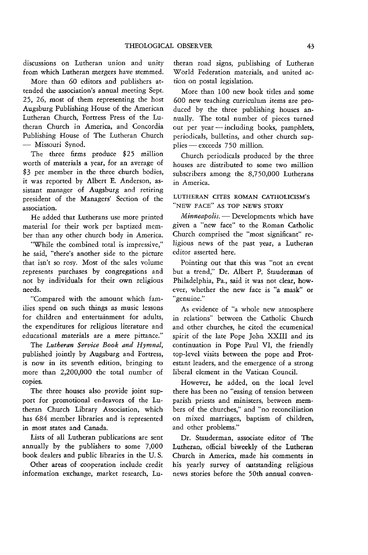discussions on Lutheran union and unity from which Lutheran mergers have stemmed.

More than 60 editors and publishers attended the association's annual meeting Sept. 25, 26, most of them representing the host Augsburg Publishing House of the American Lutheran Church, Fortress Press of the Lutheran Church in America, and Concordia Publishing House of The Lutheran Church - Missouri Synod.

The three firms produce \$25 million worth of materials a year, for an average of \$3 per member in the three church bodies, it was reported by Albert E. Anderson, assistant manager of Augsburg and retiring president of the Managers' Section of the association.

He added that Lutherans use more printed material for their work per baptized member than any other church body in America.

"While the combined total is impressive," he said, "there's another side to the picture that isn't so rosy. Most of the sales volume represents purchases by congregations and not by individuals for their own religious needs.

"Compared with the amount which families spend on such things as music lessons for children and entertainment for adults, the expenditures for religious literature and educational materials are a mere pittance."

The *Lutheran Service Book and Hymnal,*  published jointly by Augsburg and Fortress, is now in its seventh edition, bringing to more than 2,200,000 the total number of copies.

The three houses also provide joint support for promotional endeavors of the Lutheran Church Library Association, which has 684 member libraries and is represented in most states and Canada.

Lists of all Lutheran publications are sent annually by the publishers to some 7,000 book dealers and public libraries in the U. S.

Other areas of cooperation include credit information exchange, market research, Lutheran road signs, publishing of Lutheran World Federation materials, and united action on postal legislation.

More than 100 new book titles and some 600 new teaching curriculum items are produced by the three publishing houses annually. The total number of pieces turned out per year - including books, pamphlets, periodicals, bulletins, and other church supplies - exceeds 750 million.

Church periodicals produced by the three houses are distributed to some two million subscribers among the 8,750,000 Lutherans in America.

LUTHERAN CITES ROMAN CATHOLICISM'S "NEW FACE" AS TOP NEWS STORY

*Minneapolis.* - Developments which have given a "new face" to the Roman Catholic Church comprised the "most significant" religious news of the past year, a Lutheran editor asserted here.

Pointing out that this was "not an event but a trend," Dr. Albert P. Stauderman of Philadelphia, Pa., said it was not clear, however, whether the new face is "a mask" or "genuine."

As evidence of "a whole new atmosphere in relations" between the Catholic Church and other churches, he cited the ecumenical spirit of the late Pope John XXIII and its continuation in Pope Paul VI, the friendly top-level visits between the pope and Protestant leaders, and the emergence of a strong liberal element in the Vatican Council.

However, he added, on the local level there has been no "easing of tension between parish priests and ministers, between members of the churches," and "no reconciliation on mixed marriages, baptism of children, and other problems."

Dr. Stauderman, associate editor of The Lutheran, official biweekly of the Lutheran Church in America, made his comments in his yearly survey of outstanding religious news stories before the 50th annual conven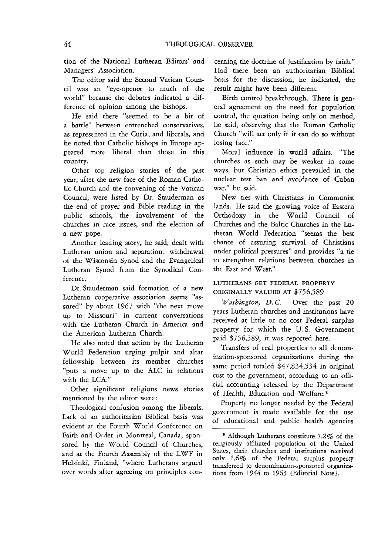tion of the National Lutheran Editors' and Managers' Association.

The editor said the Second Vatican Council was an "eye-opener to much of the world" because the debates indicated a difference of opinion among the bishops.

He said there "seemed to be a bit of a battle" between entrenched conservatives, as represented in the Curia, and liberals, and he noted that Catholic bishops in Europe appeared more liberal than those in this country.

Other top religion stories of the past year, after the new face of the Roman Catholic Church and the convening of the Vatican Council, were listed by Dr. Stauderman as the end of prayer and Bible reading in the public schools, the involvement of the churches in race issues, and the election of a new pope.

Another leading story, he said, dealt with Lutheran union and separation: withdrawal of the Wisconsin Synod and the Evangelical Lutheran Synod from the Synodical Conference.

Dr. Stauderman said formation of a new Lutheran cooperative association seems "assured" by about 1967 with "the next move up to Missouri" in current conversations with the Lutheran Church in America and the American Lutheran Church.

He also noted that action by the Lutheran World Federation urging pulpit and altar fellowship between its member churches "puts a move up to the ALC in relations with the LCA."

Other significant religious news stories mentioned by the editor were:

Theological confusion among the liberals. Lack of an authoritarian Biblical basis was evident at the Fourth World Conference on Faith and Order in Montreal, Canada, sponsored by the World Council of Churches, and at the Fourth Assembly of the LWF in Helsinki, Finland, "where Lutherans argued over words after agreeing on principles concerning the doctrine of justification by faith." Had there been an authoritarian Biblical basis for the discussion, he indicated, the result might have been different.

Birth control breakthrough. There is general agreement on the need for population control, the question being only on method, he said, observing that the Roman Catholic Church "will act only if it can do so without losing face."

Moral influence in world affairs. "The churches as such may be weaker in some ways, but Christian ethics prevailed in the nuclear test ban and avoidance of Cuban war," he said.

New ties with Christians in Communist lands. He said the growing voice of Eastern Orthodoxy in the World Council of Churches and the Baltic Churches in the Lutheran World Federation "seems the best chance of assuring survival of Christians under political pressures" and provides "a tie to strengthen relations between churches in the East and West."

LUTHERANS GET FEDERAL PROPERTY ORIGINALLY VALUED AT \$756,589

*Washington, D.C.* - Over the past 20 years Lutheran churches and institutions have received at little or no cost Federal surplus property for which the U. S. Government paid \$756,589, it was reported here.

Transfers of real properties to all denomination-sponsored organizations during the same period totaled \$47,834,534 in original cost to the government, according to an official accounting released by the Department of Health, Education and Welfare. \*

Property no longer needed by the Federal government is made available for the use of educational and public health agencies

Although Lutherans constitute 7.2% of the religiously affiliated population of the United States, their churches and institutions received only 1.6% of the Federal surplus property transferred to denomination-sponsored organizations from 1944 to 1963 [Editorial Note}.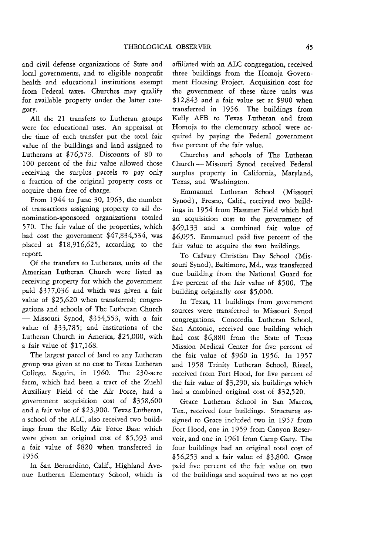and civil defense organizations of State and local governments, and to eligible nonprofit health and educational institutions exempt from Federal taxes. Churches may qualify for available property under the latter category.

All the 21 transfers to Lutheran groups were for educational uses. An appraisal at the time of each transfer put the total fair value of the buildings and land assigned to Lutherans at \$76,573. Discounts of 80 to 100 percent of the fair value allowed those receiving the surplus parcels to pay only a fraction of the original property costs or acquire them free of charge.

From 1944 to June 30, 1963, the number of transactions assigning property to all denomination-sponsored organizations totaled 570. The fair value of the properties, which had cost the government \$47,834,534, was placed at \$18,916,625, according to the report.

Of the transfers to Lutherans, units of the American Lutheran Church were listed as receiving property for which the government paid \$377,036 and which was given a fair value of \$25,620 when transferred; congregations and schools of The Lutheran Church  $-$  Missouri Synod, \$354,553, with a fair value of \$33,785; and institutions of the Lutheran Church in America, \$25,000, with a fair value of \$17,168.

The largest parcel of land to any Lutheran group was given at no cost to Texas Lutheran College, Seguin, in 1960. The 230-acre farm, which had been a tract of the Zuehl Auxiliary Field of the Air Force, had a government acquisition cost of \$358,600 and a fair value of \$23,900. Texas Lutheran, a school of the ALC, also received two buildings from the Kelly Air Force Base which were given an original cost of \$5,593 and a fair value of \$820 when transferred in 1956.

In San Bernardino, Calif., Highland Avenue Lutheran Elementary School, which is

affiliated with an ALC congregation, received three buildings from the Homoja Government Housing Project. Acquisition cost for the government of these three units was \$12,843 and a fair value set at \$900 when transferred in 1956. The buildings from Kelly AFB to Texas Lutheran and from Homoja to the elementary school were acquired by paying the Federal government five percent of the fair value.

Churches and schools of The Lutheran Church - Missouri Synod received Federal surplus property in California, Maryland, Texas, and Washington.

Emmanuel Lutheran School (Missouri Synod), Fresno, Calif., received two buildings in 1954 from Hammer Field which had an acquisition cost to the government of \$69,133 and a combined fair value of \$6,095. Emmanuel paid five percent of the fair value to acquire the two buildings.

To Calvary Christian Day School (Missouri Synod), Baltimore, Md., was transferred one building from the National Guard for five percent of the fair value of \$500. The building originally cost \$5,000.

In Texas, 11 buildings from government sources were transferred to Missouri Synod congregations. Concordia Lutheran School, San Antonio, received one building which had cost \$6,880 from the State of Texas Mission Medical Center for five percent of the fair value of \$960 in 1956. In 1957 and 1958 Trinity Lutheran School, Riesel, received from Fort Hood, for five percent of the fair value of \$3,290, six buildings which had a combined original cost of \$32,520.

Grace Lutheran School in San Marcos, Tex., received four buildings. Structures assigned to Grace included two in 1957 from Fort Hood, one in 1959 from Canyon Reservoir, and one in 1961 from Camp Gary. The four buildings had an original total cost of \$56,253 and a fair value of \$3,800. Grace paid five percent of the fair value on two of the buildings and acquired two at no cost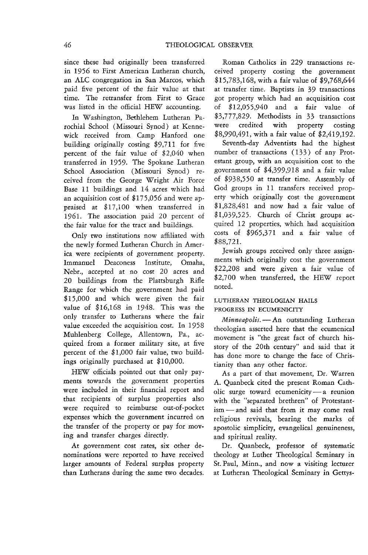since these had originally been transferred in 1956 to First American Lutheran church, an ALC congregation in San Marcos, which paid five percent of the fair value at that time. The retransfer from First to Grace was listed in the official HEW accounting.

In Washington, Bethlehem Lutheran Parochial School (Missouri Synod) at Kennewick received from Camp Hanford one building originally costing \$9,711 for five percent of the fair value of \$2,040 when transferred in 1959. The Spokane Lutheran School Association (Missouri Synod) received from the George Wright Air Force Base 11 buildings and 14 acres which had an acquisition cost of \$175,056 and were appraised at \$17,100 when transferred in 1961. The association paid 20 percent of the fair value for the tract and buildings.

Only two institutions now affiliated with the newly formed Lutheran Church in America were recipients of government property. Immanuel Deaconess Institute, Omaha, Nebr., accepted at no cost 20 acres and 20 buildings from the Plattsburgh Rifle Range for which the government had paid \$15,000 and which were given the fair value of \$16,168 in 1948. This was the only transfer to Lutherans where the fair value exceeded the acquisition cost. In 1958 Muhlenberg College, Allentown, Pa., acquired from a former military site, at five percent of the \$1,000 fair value, two buildings originally purchased at \$10,000.

HEW officials pointed out that only payments towards the government properties were included in their financial report and that recipients of surplus properties also were required to reimburse out-of-pocket expenses which the government incurred on the transfer of the property or pay for moving and transfer charges directly.

At government cost rates, six other denominations were reported to have received larger amounts of Federal surplus property than Lutherans during the same two decades.

Roman Catholics in 229 transactions received property costing the government \$15,783,168, with a fair value of \$9,768,644 at transfer time. Baptists in 39 transactions got property which had an acquisition cost of \$12,055,940 and a fair value of \$3,777,829. Methodists in 33 transactions were credited with property costing \$8,990,491, with a fair value of \$2,419,192.

Seventh-day Adventists had the highest number of transactions (133) of any Protestant group, with an acquisition cost to the government of \$4,399,918 and a fair value of \$938,550 at transfer time. Assembly of God groups in 11 transfers received property which originally cost the government \$1,828,481 and now had a fair value of \$1,039,525. Church of Christ groups acquired 12 properties, which had acquisition costs of \$965,371 and a fair value of \$88,721.

Jewish groups received only three assignments which originally cost the government \$22,208 and were given a fair value of \$2,700 when transferred, the HEW report noted.

# LUTHERAN THEOLOGIAN HAILS PROGRESS IN ECUMENICITY

*Minneapolis.* - An outstanding Lutheran theologian asserted here that the ecumenical movement is "the great fact of church hisstory of the 20th century" and said that it has done more to change the face of Christianity than any other factor.

As a part of that movement, Dr. Warren A. Quanbeck cited the present Roman Catholic surge toward ecumenicity  $-a$  reunion with the "separated brethren" of Protestant $ism$ —and said that from it may come real religious revivals, bearing the marks of apostolic simplicity, evangelical genuineness, and spiritual reality.

Dr. Quanbeck, professor of systematic theology at Luther Theological Seminary in St. Paul, Minn., and now a visiting lecturer at Lutheran Theological Seminary in Gettys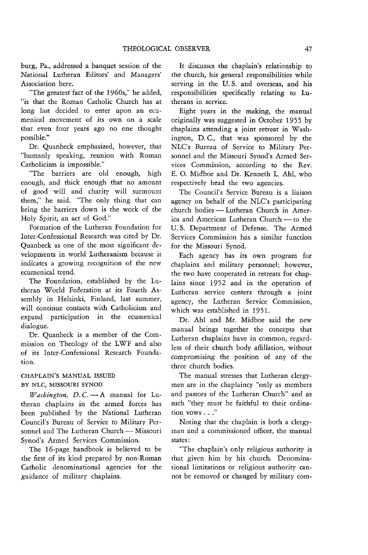burg, Pa., addressed a banquet session of the National Lutheran Editors' and Managers' Association here.

'The greatest fact of the 1960s," he added, "is that the Roman Catholic Church has at long last decided to enter upon an ecumenical movement of its own on a scale that even four years ago no one thought possible."

Dr. Quanbeck emphasized, however, that "humanly speaking, reunion with Roman Catholicism is impossible."

"The barriers are old enough, high enough, and thick enough that no amount of good will and charity will surmount them," he said. "The only thing that can bring the barriers down is the work of the Holy Spirit, an act of God."

Formation of the Lutheran Foundation for Inter-Confessional Research was cited by Dr. Quanbeck as one of the most significant developments in world Lutheranism because it indicates a growing recognition of the new ecumenical trend.

The Foundation, established by the Lutheran World Federation at its Fourth Assembly in Helsinki, Finland, last summer, will continue contacts with Catholicism and expand participation in the ecumenical dialogue.

Dr. Quanbeck is a member of the Commission on Theology of the LWF and also of its Inter-Confessional Research Foundation,

# CHAPLAIN'S MANUAL ISSUED BY NLC, MISSOURI SYNOD

*Washington, D.C.* - A manual for Lutheran chaplains in the armed forces has been published by the National Lutheran Council's Bureau of Service to Military Personnel and The Lutheran Church - Missouri Synod's Armed Services Commission.

The 16-page handbook is believed to be the first of its kind prepared by non-Roman Catholic denominational agencies for the guidance of military chaplains.

It discusses the chaplain's relationship to the church, his general responsibilities while serving in the U. S. and overseas, and his responsibilities specifically relating to Lutherans in service.

Eight years in the making, the manual originally was suggested in October 1955 by chaplains attending a joint retreat in Washington, D. C., that was sponsored by the NLC's Bureau of Service to Military Personnel and the Missouri Synod's Armed Services Commission, according to the Rev. E. O. Midboe and Dr. Kenneth L. Ahl, who respectively head the two agencies.

The Council's Service Bureau *is* a liaison agency on behalf of the NLC's participating church bodies - Lutheran Church in America and American Lutheran Church - to the U. S. Department of Defense. The Armed Services Commission has a similar function for the Missouri Synod.

Each agency has its own program for chaplains and military personnel; however, the two have cooperated in retreats for chaplains since 1952 and in the operation of Lutheran service centers through a joint agency, the Lutheran Service Commission, which was established in 1951.

Dr. Ahl and Mr. Midboe said the new manual brings together the concepts that Lutheran chaplains have in common, regardless of their church body affiliation, without compromising the position of any of the three church bodies.

The manual stresses that Lutheran clergymen are in the chaplaincy "only as members and pastors of the Lutheran Church" and as such "they must be faithful to their ordination vows . . ."

Noting that the chaplain is both a clergyman and a commissioned officer, the manual states:

"The chaplain's only religious authority is that given him by his church. Denominational limitations or religious authority cannot be removed or changed by military com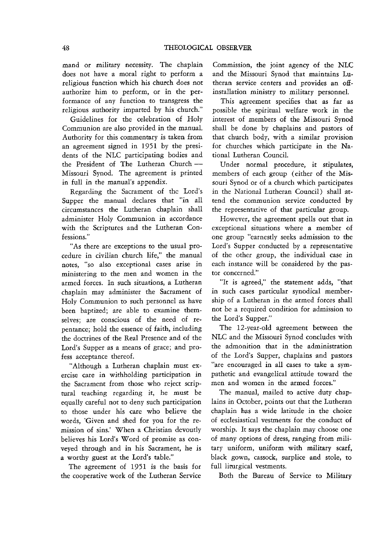mand or military necessity. The chaplain does not have a moral right to perform a religious function which his church does not authorize him to perform, or in the performance of any function to transgress the religious authority imparted by his church."

Guidelines for the celebration of Holy Communion are also provided in the manual. Authority for this commentary is taken from an agreement signed in 1951 by the presidents of the NLC participating bodies and the President of The Lutheran Church-Missouri Synod. The agreement is printed in full in the manual's appendix.

Regarding the Sacrament of the Lord's Supper the manual declares that "in all circumstances the Lutheran chaplain shall administer Holy Communion in accordance with the Scriptures and the Lutheran Confessions."

"As there are exceptions to the usual procedure in civilian church life," the manual notes, "so also exceptional cases arise in ministering to the men and women in the armed forces. In such situations, a Lutheran chaplain may administer the Sacrament of Holy Communion to such personnel as have been baptized; are able to examine themselves; are conscious of the need of repentance; hold the essence of faith, including the doctrines of the Real Presence and of the Lord's Supper as a means of grace; and profess acceptance thereof.

"Although a Lutheran chaplain must exercise care in withholding participation in the Sacrament from those who reject scriptural teaching regarding it, he must be equally careful not to deny such participation to those under his care who believe the words, 'Given and shed for you for the remission of sins.' When a Christian devoutly believes his Lord's Word of promise as conveyed through and in his Sacrament, he is a worthy guest at the Lord's table."

The agreement of 1951 is the basis for the cooperative work of the Lutheran Service

Commission, the joint agency of the NLC and the Missouri Synod that maintains Lutheran service centers and provides an offinstallation ministry to military personnel.

This agreement specifies that as far as possible the spiritual welfare work in the interest of members of the Missouri Synod shall be done by chaplains and pastors of that church body, with a similar provision for churches which participate in the National Lutheran Council.

Under normal procedure, it stipulates, members of each group (either of the Missouri Synod or of a church which participates in the National Lutheran Council) shall attend the communion service conducted by the representative of that particular group.

However, the agreement spells out that in exceptional situations where a member of one group "earnestly seeks admission to the Lord's Supper conducted by a representative of the other group, the individual case in each instance will be considered by the pastor concerned."

"It is agreed," the statement adds, "that in such cases particular synodical membership of a Lutheran in the armed forces shall not be a required condition for admission to the Lord's Supper."

The 12-year-old agreement between the NLC and the Missouri Synod concludes with the admonition that in the administration of the Lord's Supper, chaplains and pastors "are encouraged in all cases to take a sympathetic and evangelical attitude toward the men and women in the armed forces."

The manual, mailed to active duty chaplains in October, points out that the Lutheran chaplain has a wide latitude in the choice of ecclesiastical vestments for the conduct of worship. It says the chaplain may choose one of many options of dress, ranging from military uniform, uniform with military scarf, black gown, cassock, surplice and stole, to full lirurgical vestments.

Both the Bureau of Service to Military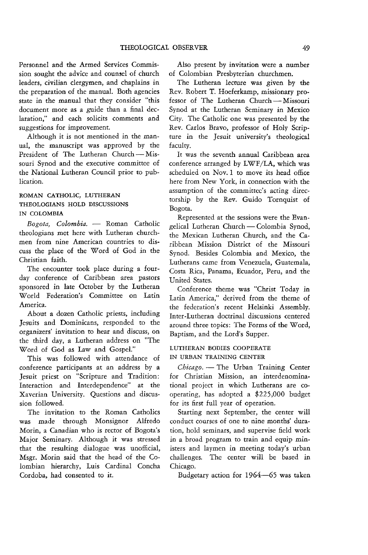Personnel and the Armed Services Commission sought the advice and counsel of church leaders, civilian clergymen, and chaplains in the preparation of the manual. Both agencies state in the manual that they consider "this document more as a guide than a final declaration," and each solicits comments and suggestions for improvement.

Although it is not mentioned in the manual, the manuscript was approved by the President of The Lutheran Church-Missouri Synod and the executive committee of the National Lutheran Council prior to publication.

# ROMAN CATHOLIC, LUTHERAN THEOLOGIANS HOLD DISCUSSIONS IN COLOMBIA

*Bogota, Colombia.* - Roman Catholic theologians met here with Lutheran churchmen from nine American countries to discuss the place of the Word of God in the Christian faith.

The encounter took place during a fourday conference of Caribbean area pastors sponsored in late October by the Lutheran World Federation's Committee on Latin America.

About a dozen Catholic priests, including Jesuits and Dominicans, responded to the organizers' invitation to hear and discuss, on the third day, a Lutheran address on "The Word of God as Law and Gospel."

This was followed with attendance of conference participants at an address by a Jesuit priest on "Scripture and Tradition: Interaction and Interdependence" at the Xaverian University. Questions and discussion followed.

The invitation to the Roman Catholics was made through Monsignor Alfredo Morin, a Canadian who is rector of Bogota's Major Seminary. Although it was stressed that the resulting dialogue was unofficial, Msgr. Morin said that the head of the Colombian hierarchy, Luis Cardinal Concha Cordoba, had consented to it.

Also present by invitation were a number of Colombian Presbyterian churchmen.

The Lutheran lecture was given by the Rev. Robert T. Hoeferkamp, missionary professor of The Lutheran Church-Missouri Synod at the Lutheran Seminary in Mexico City. The Catholic one was presented by the Rev. Carlos Bravo, professor of Holy Scripture in the Jesuit university's theological faculty.

It was the seventh annual Caribbean area conference arranged by LWF/LA, which was scheduled on Nov. 1 to move its head office here from New York, in connection with the assumption of the committee's acting directorship by the Rev. Guido Tornquist of Bogota.

Represented at the sessions were the Evangelical Lutheran Church - Colombia Synod, the Mexican Lutheran Church, and the Caribbean Mission District of the Missouri Synod. Besides Colombia and Mexico, the Lutherans came from Venezuela, Guatemala, Costa Rica, Panama, Ecuador, Peru, and the United States.

Conference theme was "Christ Today in Latin America," derived from the theme of the federation's recent Helsinki Assembly. Inter-Lutheran doctrinal discussions centered around three topics: The Forms of the Word, Baptism, and the Lord's Supper.

# LUTHERAN BODIES COOPERATE IN URBAN TRAINING CENTER

Chicago. - The Urban Training Center for Christian Mission, an interdenominational project in which Lutherans are cooperating, has adopted a \$225,000 budget for its first full year of operation.

Starting next September, the center will conduct courses of one to nine months' duration, hold seminars, and supervise field work in a broad program to train and equip ministers and laymen in meeting today's urban challenges. The center will be based in Chicago.

Budgetary action for 1964-65 was taken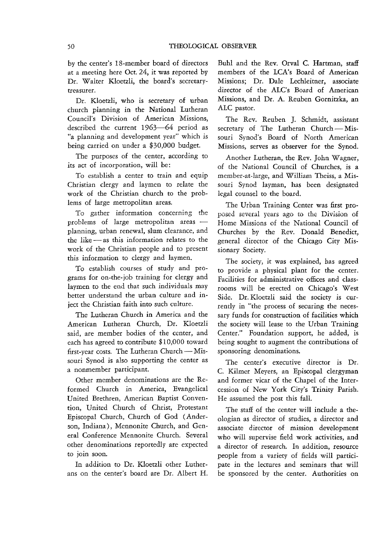by the center's IS-member board of directors at a meeting here Oct. 24, it was reported by Dr. Walter Kloetzli, the board's secretarytreasurer.

Dr. Kloetzli, who is secretary of urban church planning in the National Lutheran Council's Division of American Missions, described the current 1963-64 period as "a planning and development year" which is being carried on under a \$30,000 budget.

The purposes of the center, according to its act of incorporation, will be:

To establish a center to train and equip Christian clergy and laymen to relate the work of the Christian church to the problems of large metropolitan areas.

To gather information **concerning the**  problems of large metropolitan areas  $$ planning, urban renewal, slum clearance, and the like - as this information relates to the work of the Christian people and to present this information to clergy and laymen.

To establish courses of study and programs for on-the-job training for clergy and laymen to the end that such individuals may better understand the urban culture and inject the Christian faith into such culture.

The Lutheran Church in America and the American Lutheran Church, Dr. Kloetzli said, are member bodies of the center, and each has agreed to contribute \$10,000 toward first-year costs. The Lutheran Church - Missouri Synod is also supporting the center as a nonmember participant.

Other member denominations are the Reformed Church in America, Evangelical United Brethren, American Baptist Convention, United Church of Christ, Protestant Episcopal Church, Church of God (Anderson, Indiana), Mennonite Church, and General Conference Mennonite Church. Several other denominations reportedly are expected to join soon.

In addition to Dr. Kloetzli other Lutherans on the center's board are Dr. Albert H.

Buhl and the Rev. Orval C. Hartman, staff members of the LCA's Board of American Missions; Dr. Dale Lechleitner, associate director of the ALC's Board of American Missions, and Dr. A. Reuben Gornitzka, an ALC pastor.

The Rev. Reuben J. Schmidt, assistant secretary of The Lutheran Church - Missouri Synod's Board of North American Missions, serves as observer for the Synod.

Another Lutheran, the Rev. John Wagner, of the National Council of Churches, is a member-at-large, and William Theiss, a Missouri Synod layman, has been designated legal counsel to the board.

The Urban Training Center was first proposed several years ago to the Division of Home Missions of the National Council of Churches by the Rev. Donald Benedict, general director of the Chicago City Missionary Society.

The society, it was explained, has agreed to provide a physical plant for the center. Facilities for administrative offices and classrooms will be erected on Chicago's West Side. Dr. Kloetzli said the society is currently in "the process of securing the necessary funds for construction of facilities which the society will lease to the Urban Training Center." Foundation support, he added, is being sought to augment the contributions of sponsoring denominations.

The center's executive director is Dr. C. Kilmer Meyers, an Episcopal clergyman and former vicar of the Chapel of the Intercession of New York City's Trinity Parish. He assumed the post this fall.

The staff of the center will include a theologian as director of studies, a director and associate director of mission development who will supervise field work activities, and a director of research. In addition, resource people from a variety of fields will participate in the lectures and seminars that will be sponsored by the center. Authorities on